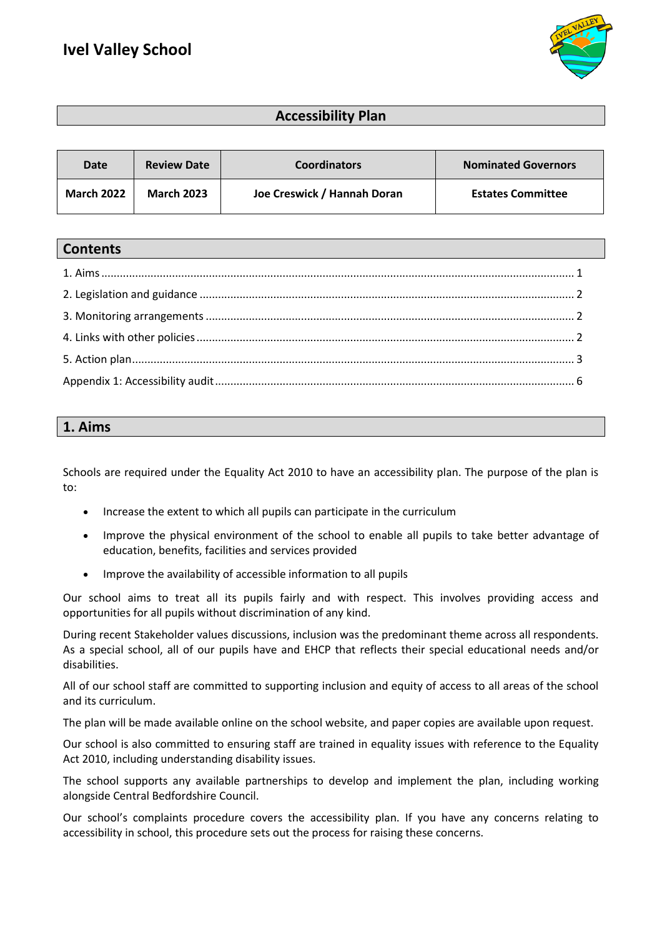

## **Accessibility Plan**

| Date              | <b>Review Date</b> | <b>Coordinators</b>         | <b>Nominated Governors</b> |
|-------------------|--------------------|-----------------------------|----------------------------|
| <b>March 2022</b> | <b>March 2023</b>  | Joe Creswick / Hannah Doran | <b>Estates Committee</b>   |

#### **Contents**

#### **1. Aims**

Schools are required under the Equality Act 2010 to have an accessibility plan. The purpose of the plan is to:

- Increase the extent to which all pupils can participate in the curriculum
- Improve the physical environment of the school to enable all pupils to take better advantage of education, benefits, facilities and services provided
- Improve the availability of accessible information to all pupils

Our school aims to treat all its pupils fairly and with respect. This involves providing access and opportunities for all pupils without discrimination of any kind.

During recent Stakeholder values discussions, inclusion was the predominant theme across all respondents. As a special school, all of our pupils have and EHCP that reflects their special educational needs and/or disabilities.

All of our school staff are committed to supporting inclusion and equity of access to all areas of the school and its curriculum.

The plan will be made available online on the school website, and paper copies are available upon request.

Our school is also committed to ensuring staff are trained in equality issues with reference to the Equality Act 2010, including understanding disability issues.

The school supports any available partnerships to develop and implement the plan, including working alongside Central Bedfordshire Council.

Our school's complaints procedure covers the accessibility plan. If you have any concerns relating to accessibility in school, this procedure sets out the process for raising these concerns.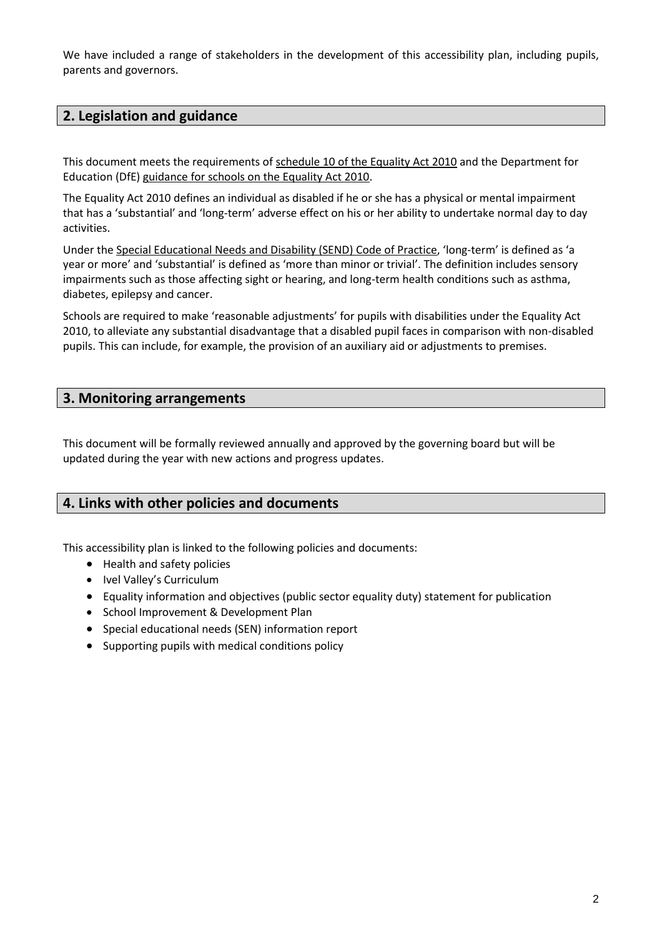We have included a range of stakeholders in the development of this accessibility plan, including pupils, parents and governors.

### **2. Legislation and guidance**

This document meets the requirements of [schedule 10 of the Equality Act 2010](http://www.legislation.gov.uk/ukpga/2010/15/schedule/10) and the Department for Education (DfE) [guidance for schools on the Equality Act 2010.](https://www.gov.uk/government/publications/equality-act-2010-advice-for-schools)

The Equality Act 2010 defines an individual as disabled if he or she has a physical or mental impairment that has a 'substantial' and 'long-term' adverse effect on his or her ability to undertake normal day to day activities.

Under th[e Special Educational Needs and Disability \(SEND\) Code of Practice](https://www.gov.uk/government/publications/send-code-of-practice-0-to-25), 'long-term' is defined as 'a year or more' and 'substantial' is defined as 'more than minor or trivial'. The definition includes sensory impairments such as those affecting sight or hearing, and long-term health conditions such as asthma, diabetes, epilepsy and cancer.

Schools are required to make 'reasonable adjustments' for pupils with disabilities under the Equality Act 2010, to alleviate any substantial disadvantage that a disabled pupil faces in comparison with non-disabled pupils. This can include, for example, the provision of an auxiliary aid or adjustments to premises.

#### **3. Monitoring arrangements**

This document will be formally reviewed annually and approved by the governing board but will be updated during the year with new actions and progress updates.

#### **4. Links with other policies and documents**

This accessibility plan is linked to the following policies and documents:

- Health and safety policies
- Ivel Valley's Curriculum
- Equality information and objectives (public sector equality duty) statement for publication
- School Improvement & Development Plan
- Special educational needs (SEN) information report
- Supporting pupils with medical conditions policy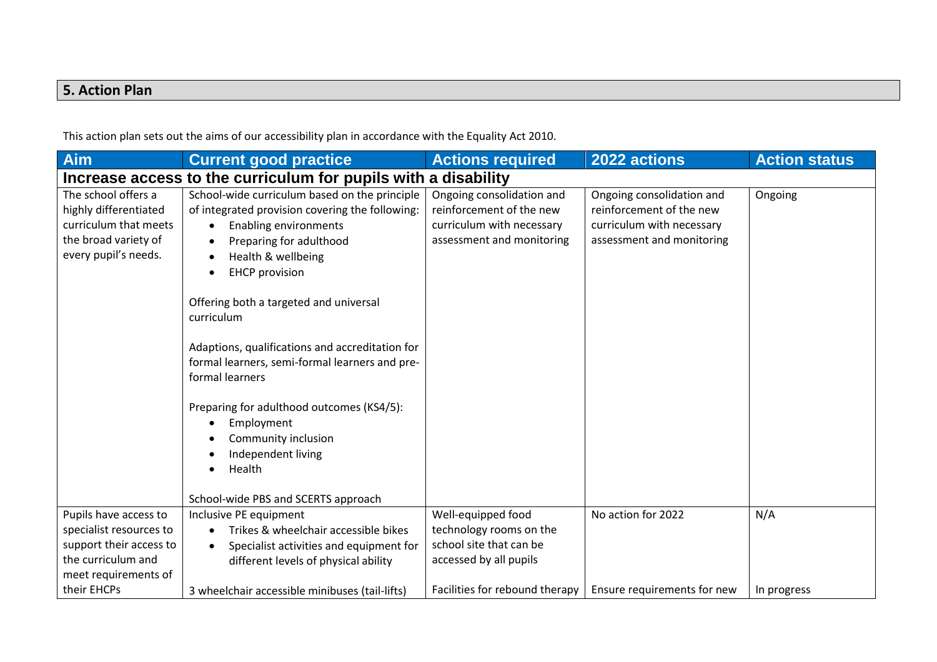# **5. Action Plan**

This action plan sets out the aims of our accessibility plan in accordance with the Equality Act 2010.

| Aim                                                                                                                       | <b>Current good practice</b>                                                                                                                                                                                                                                                                                                                                                                                                                                                                                                                        | <b>Actions required</b>                                                                                         | 2022 actions                                                                                                    | <b>Action status</b> |  |
|---------------------------------------------------------------------------------------------------------------------------|-----------------------------------------------------------------------------------------------------------------------------------------------------------------------------------------------------------------------------------------------------------------------------------------------------------------------------------------------------------------------------------------------------------------------------------------------------------------------------------------------------------------------------------------------------|-----------------------------------------------------------------------------------------------------------------|-----------------------------------------------------------------------------------------------------------------|----------------------|--|
| Increase access to the curriculum for pupils with a disability                                                            |                                                                                                                                                                                                                                                                                                                                                                                                                                                                                                                                                     |                                                                                                                 |                                                                                                                 |                      |  |
| The school offers a<br>highly differentiated<br>curriculum that meets<br>the broad variety of<br>every pupil's needs.     | School-wide curriculum based on the principle<br>of integrated provision covering the following:<br><b>Enabling environments</b><br>Preparing for adulthood<br>Health & wellbeing<br><b>EHCP</b> provision<br>Offering both a targeted and universal<br>curriculum<br>Adaptions, qualifications and accreditation for<br>formal learners, semi-formal learners and pre-<br>formal learners<br>Preparing for adulthood outcomes (KS4/5):<br>Employment<br>Community inclusion<br>Independent living<br>Health<br>School-wide PBS and SCERTS approach | Ongoing consolidation and<br>reinforcement of the new<br>curriculum with necessary<br>assessment and monitoring | Ongoing consolidation and<br>reinforcement of the new<br>curriculum with necessary<br>assessment and monitoring | Ongoing              |  |
| Pupils have access to<br>specialist resources to<br>support their access to<br>the curriculum and<br>meet requirements of | Inclusive PE equipment<br>Trikes & wheelchair accessible bikes<br>$\bullet$<br>Specialist activities and equipment for<br>different levels of physical ability                                                                                                                                                                                                                                                                                                                                                                                      | Well-equipped food<br>technology rooms on the<br>school site that can be<br>accessed by all pupils              | No action for 2022                                                                                              | N/A                  |  |
| their EHCPs                                                                                                               | 3 wheelchair accessible minibuses (tail-lifts)                                                                                                                                                                                                                                                                                                                                                                                                                                                                                                      | Facilities for rebound therapy                                                                                  | Ensure requirements for new                                                                                     | In progress          |  |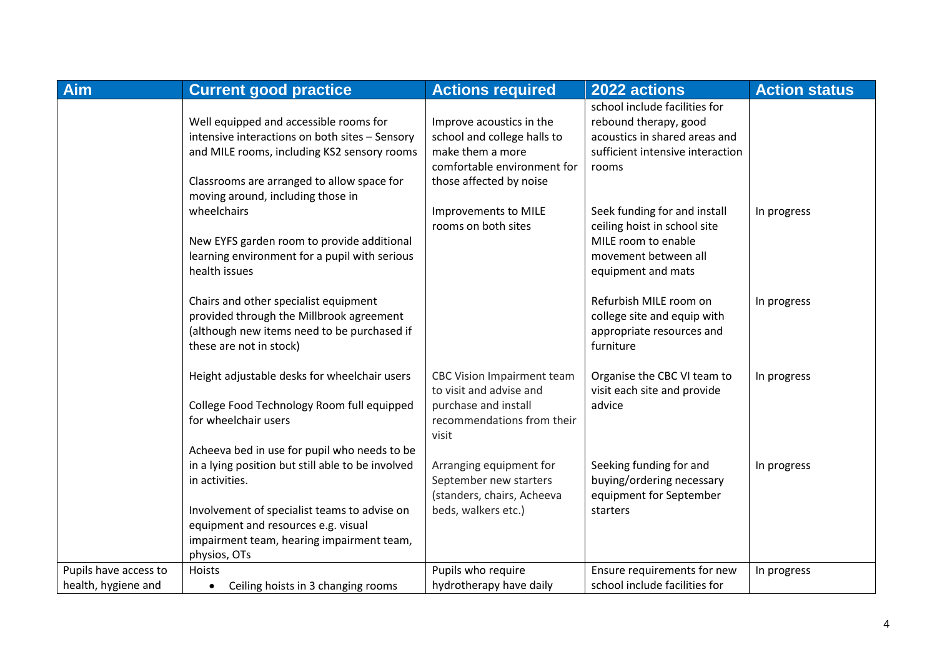| <b>Aim</b>            | <b>Current good practice</b>                                                                                                                                                                                                                            | <b>Actions required</b>                                                                                                     | 2022 actions                                                                                                                      | <b>Action status</b> |
|-----------------------|---------------------------------------------------------------------------------------------------------------------------------------------------------------------------------------------------------------------------------------------------------|-----------------------------------------------------------------------------------------------------------------------------|-----------------------------------------------------------------------------------------------------------------------------------|----------------------|
|                       | Well equipped and accessible rooms for<br>intensive interactions on both sites - Sensory<br>and MILE rooms, including KS2 sensory rooms                                                                                                                 | Improve acoustics in the<br>school and college halls to<br>make them a more                                                 | school include facilities for<br>rebound therapy, good<br>acoustics in shared areas and<br>sufficient intensive interaction       |                      |
|                       | Classrooms are arranged to allow space for<br>moving around, including those in                                                                                                                                                                         | comfortable environment for<br>those affected by noise                                                                      | rooms                                                                                                                             |                      |
|                       | wheelchairs<br>New EYFS garden room to provide additional<br>learning environment for a pupil with serious<br>health issues                                                                                                                             | Improvements to MILE<br>rooms on both sites                                                                                 | Seek funding for and install<br>ceiling hoist in school site<br>MILE room to enable<br>movement between all<br>equipment and mats | In progress          |
|                       | Chairs and other specialist equipment<br>provided through the Millbrook agreement<br>(although new items need to be purchased if<br>these are not in stock)                                                                                             |                                                                                                                             | Refurbish MILE room on<br>college site and equip with<br>appropriate resources and<br>furniture                                   | In progress          |
|                       | Height adjustable desks for wheelchair users<br>College Food Technology Room full equipped<br>for wheelchair users                                                                                                                                      | <b>CBC Vision Impairment team</b><br>to visit and advise and<br>purchase and install<br>recommendations from their<br>visit | Organise the CBC VI team to<br>visit each site and provide<br>advice                                                              | In progress          |
|                       | Acheeva bed in use for pupil who needs to be<br>in a lying position but still able to be involved<br>in activities.<br>Involvement of specialist teams to advise on<br>equipment and resources e.g. visual<br>impairment team, hearing impairment team, | Arranging equipment for<br>September new starters<br>(standers, chairs, Acheeva<br>beds, walkers etc.)                      | Seeking funding for and<br>buying/ordering necessary<br>equipment for September<br>starters                                       | In progress          |
| Pupils have access to | physios, OTs<br>Hoists                                                                                                                                                                                                                                  | Pupils who require                                                                                                          | Ensure requirements for new                                                                                                       | In progress          |
| health, hygiene and   | Ceiling hoists in 3 changing rooms<br>$\bullet$                                                                                                                                                                                                         | hydrotherapy have daily                                                                                                     | school include facilities for                                                                                                     |                      |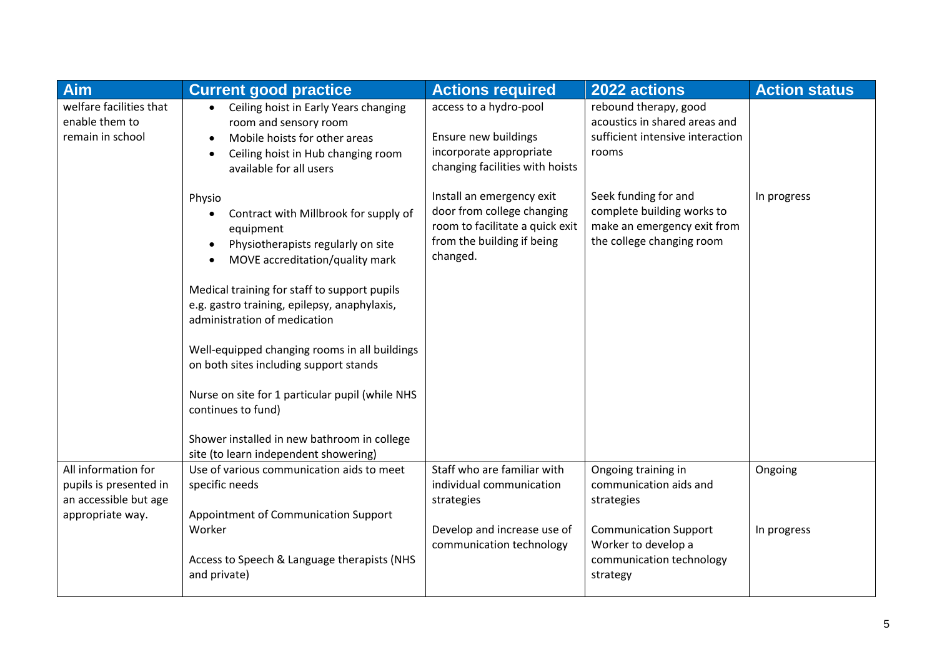| <b>Aim</b>                                                                                 | <b>Current good practice</b>                                                                                                                                                                                                                                                                                                                                                                                                                                                                                                      | <b>Actions required</b>                                                                                                              | 2022 actions                                                                                                                                               | <b>Action status</b>   |
|--------------------------------------------------------------------------------------------|-----------------------------------------------------------------------------------------------------------------------------------------------------------------------------------------------------------------------------------------------------------------------------------------------------------------------------------------------------------------------------------------------------------------------------------------------------------------------------------------------------------------------------------|--------------------------------------------------------------------------------------------------------------------------------------|------------------------------------------------------------------------------------------------------------------------------------------------------------|------------------------|
| welfare facilities that<br>enable them to<br>remain in school                              | Ceiling hoist in Early Years changing<br>room and sensory room<br>Mobile hoists for other areas<br>Ceiling hoist in Hub changing room<br>$\bullet$<br>available for all users                                                                                                                                                                                                                                                                                                                                                     | access to a hydro-pool<br>Ensure new buildings<br>incorporate appropriate<br>changing facilities with hoists                         | rebound therapy, good<br>acoustics in shared areas and<br>sufficient intensive interaction<br>rooms                                                        |                        |
|                                                                                            | Physio<br>Contract with Millbrook for supply of<br>equipment<br>Physiotherapists regularly on site<br>MOVE accreditation/quality mark<br>Medical training for staff to support pupils<br>e.g. gastro training, epilepsy, anaphylaxis,<br>administration of medication<br>Well-equipped changing rooms in all buildings<br>on both sites including support stands<br>Nurse on site for 1 particular pupil (while NHS<br>continues to fund)<br>Shower installed in new bathroom in college<br>site (to learn independent showering) | Install an emergency exit<br>door from college changing<br>room to facilitate a quick exit<br>from the building if being<br>changed. | Seek funding for and<br>complete building works to<br>make an emergency exit from<br>the college changing room                                             | In progress            |
| All information for<br>pupils is presented in<br>an accessible but age<br>appropriate way. | Use of various communication aids to meet<br>specific needs<br>Appointment of Communication Support<br>Worker<br>Access to Speech & Language therapists (NHS<br>and private)                                                                                                                                                                                                                                                                                                                                                      | Staff who are familiar with<br>individual communication<br>strategies<br>Develop and increase use of<br>communication technology     | Ongoing training in<br>communication aids and<br>strategies<br><b>Communication Support</b><br>Worker to develop a<br>communication technology<br>strategy | Ongoing<br>In progress |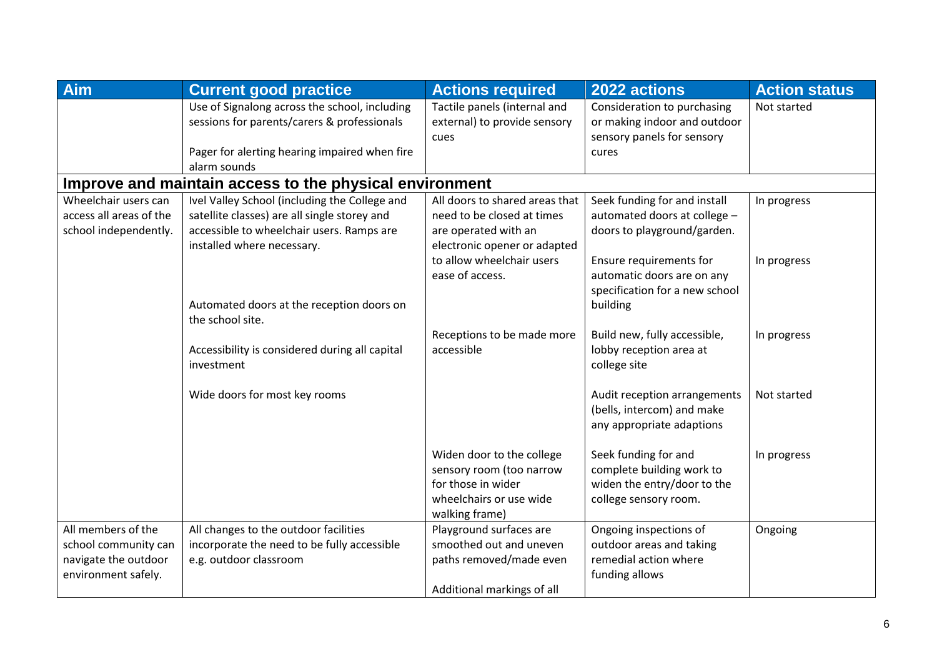| Aim                                                     | <b>Current good practice</b>                   | <b>Actions required</b>        | 2022 actions                   | <b>Action status</b> |
|---------------------------------------------------------|------------------------------------------------|--------------------------------|--------------------------------|----------------------|
|                                                         | Use of Signalong across the school, including  | Tactile panels (internal and   | Consideration to purchasing    | Not started          |
|                                                         | sessions for parents/carers & professionals    | external) to provide sensory   | or making indoor and outdoor   |                      |
|                                                         |                                                | cues                           | sensory panels for sensory     |                      |
|                                                         | Pager for alerting hearing impaired when fire  |                                | cures                          |                      |
|                                                         | alarm sounds                                   |                                |                                |                      |
| Improve and maintain access to the physical environment |                                                |                                |                                |                      |
| Wheelchair users can                                    | Ivel Valley School (including the College and  | All doors to shared areas that | Seek funding for and install   | In progress          |
| access all areas of the                                 | satellite classes) are all single storey and   | need to be closed at times     | automated doors at college -   |                      |
| school independently.                                   | accessible to wheelchair users. Ramps are      | are operated with an           | doors to playground/garden.    |                      |
|                                                         | installed where necessary.                     | electronic opener or adapted   |                                |                      |
|                                                         |                                                | to allow wheelchair users      | Ensure requirements for        | In progress          |
|                                                         |                                                | ease of access.                | automatic doors are on any     |                      |
|                                                         |                                                |                                | specification for a new school |                      |
|                                                         | Automated doors at the reception doors on      |                                | building                       |                      |
|                                                         | the school site.                               |                                |                                |                      |
|                                                         |                                                | Receptions to be made more     | Build new, fully accessible,   | In progress          |
|                                                         | Accessibility is considered during all capital | accessible                     | lobby reception area at        |                      |
|                                                         | investment                                     |                                | college site                   |                      |
|                                                         |                                                |                                |                                |                      |
|                                                         | Wide doors for most key rooms                  |                                | Audit reception arrangements   | Not started          |
|                                                         |                                                |                                | (bells, intercom) and make     |                      |
|                                                         |                                                |                                | any appropriate adaptions      |                      |
|                                                         |                                                | Widen door to the college      | Seek funding for and           | In progress          |
|                                                         |                                                | sensory room (too narrow       | complete building work to      |                      |
|                                                         |                                                | for those in wider             | widen the entry/door to the    |                      |
|                                                         |                                                | wheelchairs or use wide        | college sensory room.          |                      |
|                                                         |                                                | walking frame)                 |                                |                      |
| All members of the                                      | All changes to the outdoor facilities          | Playground surfaces are        | Ongoing inspections of         | Ongoing              |
| school community can                                    | incorporate the need to be fully accessible    | smoothed out and uneven        | outdoor areas and taking       |                      |
| navigate the outdoor                                    | e.g. outdoor classroom                         | paths removed/made even        | remedial action where          |                      |
| environment safely.                                     |                                                |                                | funding allows                 |                      |
|                                                         |                                                | Additional markings of all     |                                |                      |